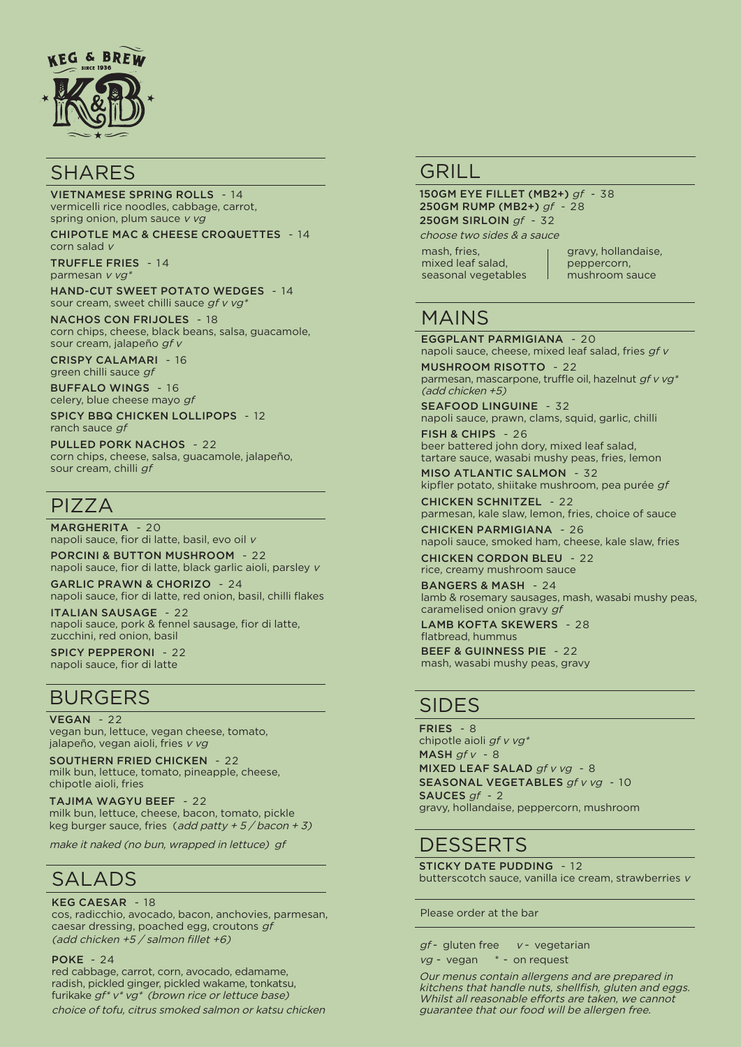

#### **SHARES**

VIETNAMESE SPRING ROLLS - 14 vermicelli rice noodles, cabbage, carrot, spring onion, plum sauce v vg

CHIPOTLE MAC & CHEESE CROQUETTES - 14 corn salad  $\nu$ 

TRUFFLE FRIES - 14 parmesan v vg\*

HAND-CUT SWEET POTATO WEDGES - 14 sour cream, sweet chilli sauce gf v vg\*

NACHOS CON FRIJOLES - 18 corn chips, cheese, black beans, salsa, guacamole, sour cream, jalapeño gf v

CRISPY CALAMARI - 16 green chilli sauce gf

BUFFALO WINGS - 16 celery, blue cheese mayo gf

SPICY BBQ CHICKEN LOLLIPOPS - 12 ranch sauce gf

PULLED PORK NACHOS - 22 corn chips, cheese, salsa, guacamole, jalapeño, sour cream, chilli gf

## PIZZA

MARGHERITA - 20 napoli sauce, fior di latte, basil, evo oil v PORCINI & BUTTON MUSHROOM - 22

napoli sauce, fior di latte, black garlic aioli, parsley v

GARLIC PRAWN & CHORIZO - 24 napoli sauce, fior di latte, red onion, basil, chilli flakes

ITALIAN SAUSAGE - 22 napoli sauce, pork & fennel sausage, fior di latte, zucchini, red onion, basil

SPICY PEPPERONI - 22 napoli sauce, fior di latte

### BURGERS

VEGAN - 22

vegan bun, lettuce, vegan cheese, tomato, jalapeño, vegan aioli, fries v vg

SOUTHERN FRIED CHICKEN - 22 milk bun, lettuce, tomato, pineapple, cheese, chipotle aioli, fries

TAJIMA WAGYU BEEF - 22 milk bun, lettuce, cheese, bacon, tomato, pickle keg burger sauce, fries (add patty  $+ 5/$  bacon  $+ 3$ )

make it naked (no bun, wrapped in lettuce) gf

## SALADS

#### KEG CAESAR - 18

cos, radicchio, avocado, bacon, anchovies, parmesan, caesar dressing, poached egg, croutons gf (add chicken +5 / salmon fillet +6)

#### POKE - 24

red cabbage, carrot, corn, avocado, edamame, radish, pickled ginger, pickled wakame, tonkatsu, furikake gf\* v\* vg\* (brown rice or lettuce base) choice of tofu, citrus smoked salmon or katsu chicken

#### GRILL<sub>I</sub>

150GM EYE FILLET (MB2+) gf - 38 250GM RUMP (MB2+) gf - 28 250GM SIRLOIN gf - 32 choose two sides & a sauce

mash, fries, mixed leaf salad, seasonal vegetables gravy, hollandaise, peppercorn, mushroom sauce

## MAINS

EGGPLANT PARMIGIANA - 20 napoli sauce, cheese, mixed leaf salad, fries qf v

MUSHROOM RISOTTO - 22 parmesan, mascarpone, truffle oil, hazelnut gf v vg\* (add chicken +5)

SEAFOOD LINGUINE - 32 napoli sauce, prawn, clams, squid, garlic, chilli

FISH & CHIPS - 26 beer battered john dory, mixed leaf salad, tartare sauce, wasabi mushy peas, fries, lemon

MISO ATLANTIC SALMON - 32 kipfler potato, shiitake mushroom, pea purée gf

CHICKEN SCHNITZEL - 22 parmesan, kale slaw, lemon, fries, choice of sauce CHICKEN PARMIGIANA - 26

napoli sauce, smoked ham, cheese, kale slaw, fries CHICKEN CORDON BLEU - 22

rice, creamy mushroom sauce

BANGERS & MASH - 24 lamb & rosemary sausages, mash, wasabi mushy peas, caramelised onion gravy gf

LAMB KOFTA SKEWERS - 28 flatbread, hummus BEEF & GUINNESS PIE - 22 mash, wasabi mushy peas, gravy

### SIDES

FRIES - 8 chipotle aioli gf v vg\* MASH  $gf v - 8$ MIXED LEAF SALAD gf v vg - 8 SEASONAL VEGETABLES af v va - 10 SAUCES gf - 2 gravy, hollandaise, peppercorn, mushroom

## **DESSERTS**

STICKY DATE PUDDING - 12 butterscotch sauce, vanilla ice cream, strawberries v

Please order at the bar

 $gf$ - gluten free  $v$ - vegetarian  $vg$  - vegan  $*$  - on request

Our menus contain allergens and are prepared in kitchens that handle nuts, shellfish, gluten and eggs. Whilst all reasonable efforts are taken, we cannot guarantee that our food will be allergen free.